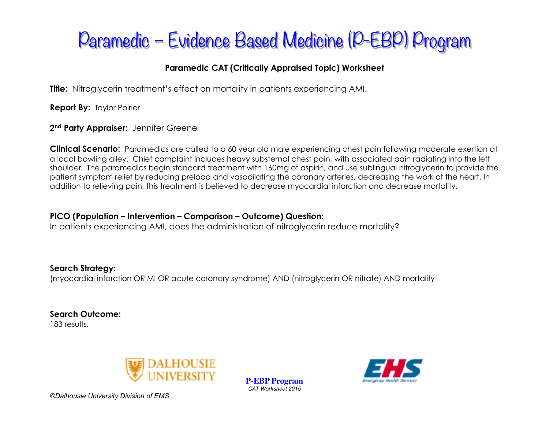## Paramedic – Evidence Based Medicine (P-EBP) Program

### **Paramedic CAT (Critically Appraised Topic) Worksheet**

**Title:** Nitroglycerin treatment's effect on mortality in patients experiencing AMI.

**Report By:** Taylor Poirier

#### 2<sup>nd</sup> Party Appraiser: Jennifer Greene

**Clinical Scenario:** Paramedics are called to a 60 year old male experiencing chest pain following moderate exertion at a local bowling alley. Chief complaint includes heavy substernal chest pain, with associated pain radiating into the left shoulder. The paramedics begin standard treatment with 160mg of aspirin, and use sublingual nitroglycerin to provide the patient symptom relief by reducing preload and vasodilating the coronary arteries, decreasing the work of the heart. In addition to relieving pain, this treatment is believed to decrease myocardial infarction and decrease mortality.

#### **PICO (Population – Intervention – Comparison – Outcome) Question:**

In patients experiencing AMI, does the administration of nitroglycerin reduce mortality?

### **Search Strategy:**

(myocardial infarction OR MI OR acute coronary syndrome) AND (nitroglycerin OR nitrate) AND mortality

**Search Outcome:**  183 results.



**P-EBP Program** *CAT Worksheet 2015* 

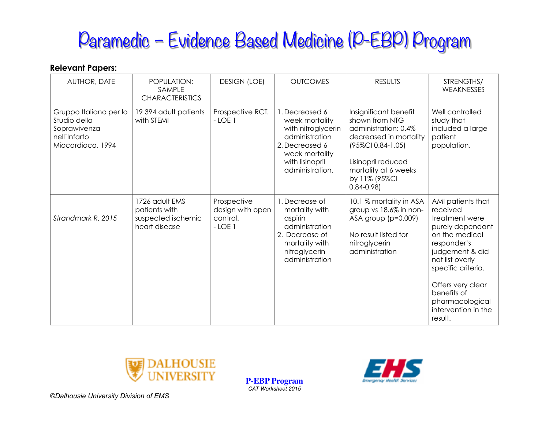# Paramedic – Evidence Based Medicine (P-EBP) Program

#### **Relevant Papers:**

| AUTHOR, DATE                                                                                | POPULATION:<br>SAMPLE<br><b>CHARACTERISTICS</b>                        | <b>DESIGN (LOE)</b>                                     | <b>OUTCOMES</b>                                                                                                                                    | <b>RESULTS</b>                                                                                                                                                                                 | STRENGTHS/<br><b>WEAKNESSES</b>                                                                                                                                                                                                                           |
|---------------------------------------------------------------------------------------------|------------------------------------------------------------------------|---------------------------------------------------------|----------------------------------------------------------------------------------------------------------------------------------------------------|------------------------------------------------------------------------------------------------------------------------------------------------------------------------------------------------|-----------------------------------------------------------------------------------------------------------------------------------------------------------------------------------------------------------------------------------------------------------|
| Gruppo Italiano per lo<br>Studio della<br>Soprawivenza<br>nell'Infarto<br>Miocardioco. 1994 | 19 394 adult patients<br>with STEMI                                    | Prospective RCT.<br>$-LOE$ 1                            | 1. Decreased 6<br>week mortality<br>with nitroglycerin<br>administration<br>2. Decreased 6<br>week mortality<br>with lisinopril<br>administration. | Insignificant benefit<br>shown from NTG<br>administration: 0.4%<br>decreased in mortality<br>(95%CI 0.84-1.05)<br>Lisinopril reduced<br>mortality at 6 weeks<br>by 11% (95%Cl<br>$0.84 - 0.98$ | Well controlled<br>study that<br>included a large<br>patient<br>population.                                                                                                                                                                               |
| Strandmark R. 2015                                                                          | 1726 adult EMS<br>patients with<br>suspected ischemic<br>heart disease | Prospective<br>design with open<br>control.<br>$-LOE$ 1 | 1. Decrease of<br>mortality with<br>aspirin<br>administration<br>2. Decrease of<br>mortality with<br>nitroglycerin<br>administration               | 10.1 % mortality in ASA<br>group vs 18.6% in non-<br>ASA group $(p=0.009)$<br>No result listed for<br>nitroglycerin<br>administration                                                          | AMI patients that<br>received<br>treatment were<br>purely dependant<br>on the medical<br>responder's<br>judgement & did<br>not list overly<br>specific criteria.<br>Offers very clear<br>benefits of<br>pharmacological<br>intervention in the<br>result. |



**P-EBP Program** *CAT Worksheet 2015* 



*©Dalhousie University Division of EMS*